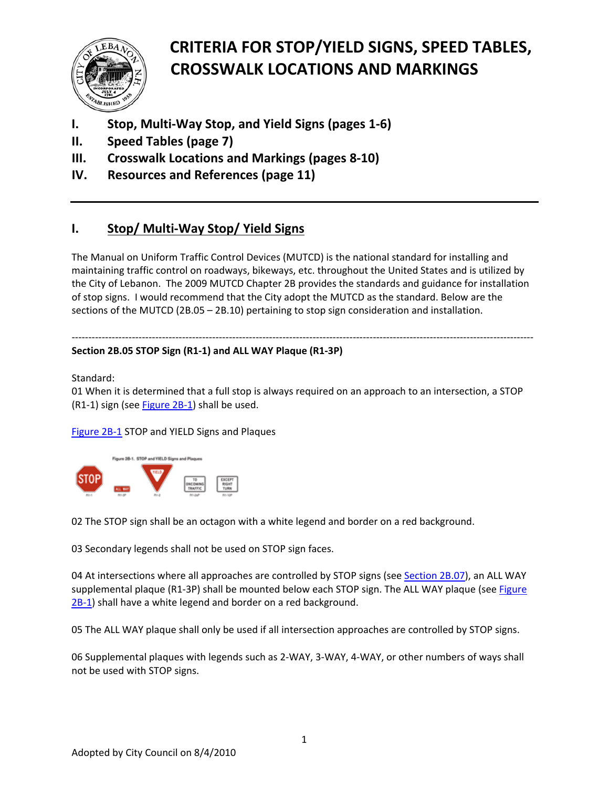

- **I. Stop, Multi‐Way Stop, and Yield Signs (pages 1‐6)**
- **II. Speed Tables (page 7)**
- **III. Crosswalk Locations and Markings (pages 8‐10)**
- **IV. Resources and References (page 11)**

### **I. Stop/ Multi‐Way Stop/ Yield Signs**

The Manual on Uniform Traffic Control Devices (MUTCD) is the national standard for installing and maintaining traffic control on roadways, bikeways, etc. throughout the United States and is utilized by the City of Lebanon. The 2009 MUTCD Chapter 2B provides the standards and guidance for installation of stop signs. I would recommend that the City adopt the MUTCD as the standard. Below are the sections of the MUTCD (2B.05 – 2B.10) pertaining to stop sign consideration and installation.

#### ‐‐‐‐‐‐‐‐‐‐‐‐‐‐‐‐‐‐‐‐‐‐‐‐‐‐‐‐‐‐‐‐‐‐‐‐‐‐‐‐‐‐‐‐‐‐‐‐‐‐‐‐‐‐‐‐‐‐‐‐‐‐‐‐‐‐‐‐‐‐‐‐‐‐‐‐‐‐‐‐‐‐‐‐‐‐‐‐‐‐‐‐‐‐‐‐‐‐‐‐‐‐‐‐‐‐‐‐‐‐‐‐‐‐‐‐‐‐‐‐‐‐‐‐‐‐‐‐‐‐‐‐‐‐‐‐‐‐ **Section 2B.05 STOP Sign (R1‐1) and ALL WAY Plaque (R1‐3P)**

Standard:

01 When it is determined that a full stop is always required on an approach to an intersection, a STOP (R1-1) sign (see **[Figure](http://mutcd.fhwa.dot.gov/htm/2009/part2/part2b.htm#figure2B01) 2B-1**) shall be used.

[Figure](http://mutcd.fhwa.dot.gov/htm/2009/part2/fig2b_01_longdesc.htm) 2B‐1 STOP and YIELD Signs and Plaques



02 The STOP sign shall be an octagon with a white legend and border on a red background.

03 Secondary legends shall not be used on STOP sign faces.

04 At intersections where all approaches are controlled by STOP signs (see [Section](http://mutcd.fhwa.dot.gov/htm/2009/part2/part2b.htm#section2B07) 2B.07), an ALL WAY supplemental plaque (R1-3P) shall be mounted below each STOP sign. The ALL WAY plaque (see [Figure](http://mutcd.fhwa.dot.gov/htm/2009/part2/part2b.htm#figure2B01) [2B](http://mutcd.fhwa.dot.gov/htm/2009/part2/part2b.htm#figure2B01)-1) shall have a white legend and border on a red background.

05 The ALL WAY plaque shall only be used if all intersection approaches are controlled by STOP signs.

06 Supplemental plaques with legends such as 2‐WAY, 3‐WAY, 4‐WAY, or other numbers of ways shall not be used with STOP signs.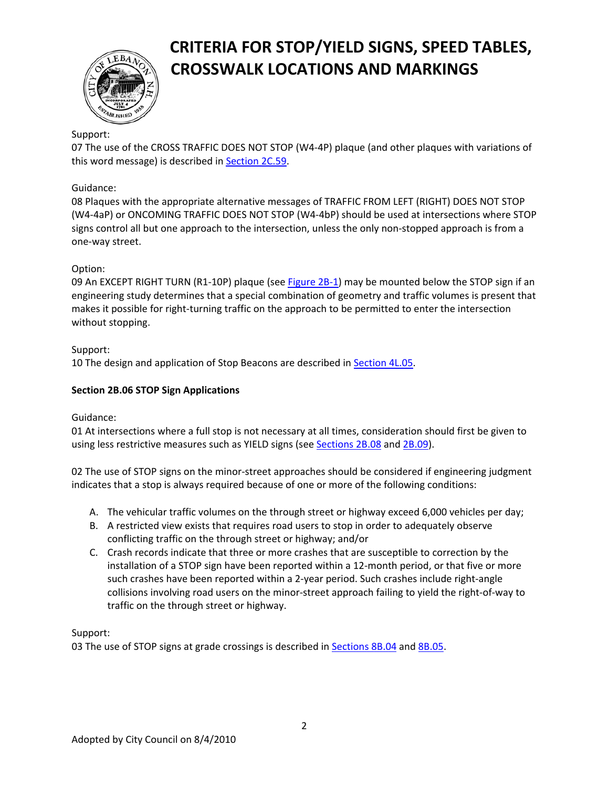

#### Support:

07 The use of the CROSS TRAFFIC DOES NOT STOP (W4‐4P) plaque (and other plaques with variations of this word message) is described in [Section](http://mutcd.fhwa.dot.gov/htm/2009/part2/part2c.htm#section2C59) 2C.59.

#### Guidance:

08 Plaques with the appropriate alternative messages of TRAFFIC FROM LEFT (RIGHT) DOES NOT STOP (W4‐4aP) or ONCOMING TRAFFIC DOES NOT STOP (W4‐4bP) should be used at intersections where STOP signs control all but one approach to the intersection, unless the only non‐stopped approach is from a one‐way street.

#### Option:

09 An EXCEPT RIGHT TURN (R1-10P) plaque (see [Figure](http://mutcd.fhwa.dot.gov/htm/2009/part2/part2b.htm#figure2B01) 2B-1) may be mounted below the STOP sign if an engineering study determines that a special combination of geometry and traffic volumes is present that makes it possible for right‐turning traffic on the approach to be permitted to enter the intersection without stopping.

#### Support:

10 The design and application of Stop Beacons are described in [Section](http://mutcd.fhwa.dot.gov/htm/2009/part4/part4l.htm#section4L05) 4L.05.

#### **Section 2B.06 STOP Sign Applications**

#### Guidance:

01 At intersections where a full stop is not necessary at all times, consideration should first be given to using less restrictive measures such as YIELD signs (see [Sections](http://mutcd.fhwa.dot.gov/htm/2009/part2/part2b.htm#section2B08) 2B.08 and [2B.09\)](http://mutcd.fhwa.dot.gov/htm/2009/part2/part2b.htm#section2B09).

02 The use of STOP signs on the minor‐street approaches should be considered if engineering judgment indicates that a stop is always required because of one or more of the following conditions:

- A. The vehicular traffic volumes on the through street or highway exceed 6,000 vehicles per day;
- B. A restricted view exists that requires road users to stop in order to adequately observe conflicting traffic on the through street or highway; and/or
- C. Crash records indicate that three or more crashes that are susceptible to correction by the installation of a STOP sign have been reported within a 12-month period, or that five or more such crashes have been reported within a 2-year period. Such crashes include right-angle collisions involving road users on the minor‐street approach failing to yield the right‐of‐way to traffic on the through street or highway.

#### Support:

03 The use of STOP signs at grade crossings is described in [Sections](http://mutcd.fhwa.dot.gov/htm/2009/part8/part8b.htm#section8B04) 8B.04 and [8B.05](http://mutcd.fhwa.dot.gov/htm/2009/part8/part8b.htm#section8B05).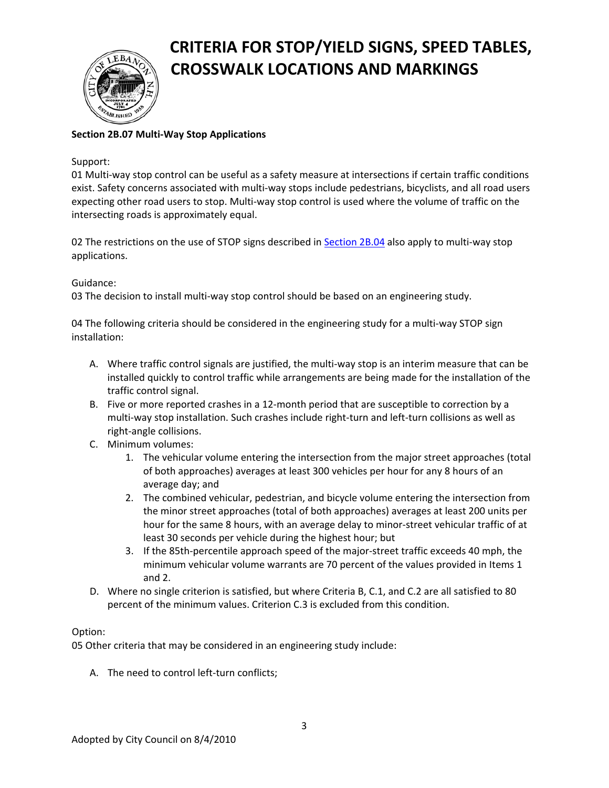

#### **Section 2B.07 Multi‐Way Stop Applications**

#### Support:

01 Multi-way stop control can be useful as a safety measure at intersections if certain traffic conditions exist. Safety concerns associated with multi-way stops include pedestrians, bicyclists, and all road users expecting other road users to stop. Multi-way stop control is used where the volume of traffic on the intersecting roads is approximately equal.

02 The restrictions on the use of STOP signs described in [Section](http://mutcd.fhwa.dot.gov/htm/2009/part2/part2b.htm#section2B04) 2B.04 also apply to multi-way stop applications.

#### Guidance:

03 The decision to install multi-way stop control should be based on an engineering study.

04 The following criteria should be considered in the engineering study for a multi-way STOP sign installation:

- A. Where traffic control signals are justified, the multi-way stop is an interim measure that can be installed quickly to control traffic while arrangements are being made for the installation of the traffic control signal.
- B. Five or more reported crashes in a 12-month period that are susceptible to correction by a multi‐way stop installation. Such crashes include right‐turn and left‐turn collisions as well as right‐angle collisions.
- C. Minimum volumes:
	- 1. The vehicular volume entering the intersection from the major street approaches (total of both approaches) averages at least 300 vehicles per hour for any 8 hours of an average day; and
	- 2. The combined vehicular, pedestrian, and bicycle volume entering the intersection from the minor street approaches (total of both approaches) averages at least 200 units per hour for the same 8 hours, with an average delay to minor-street vehicular traffic of at least 30 seconds per vehicle during the highest hour; but
	- 3. If the 85th‐percentile approach speed of the major‐street traffic exceeds 40 mph, the minimum vehicular volume warrants are 70 percent of the values provided in Items 1 and 2.
- D. Where no single criterion is satisfied, but where Criteria B, C.1, and C.2 are all satisfied to 80 percent of the minimum values. Criterion C.3 is excluded from this condition.

#### Option:

05 Other criteria that may be considered in an engineering study include:

A. The need to control left-turn conflicts;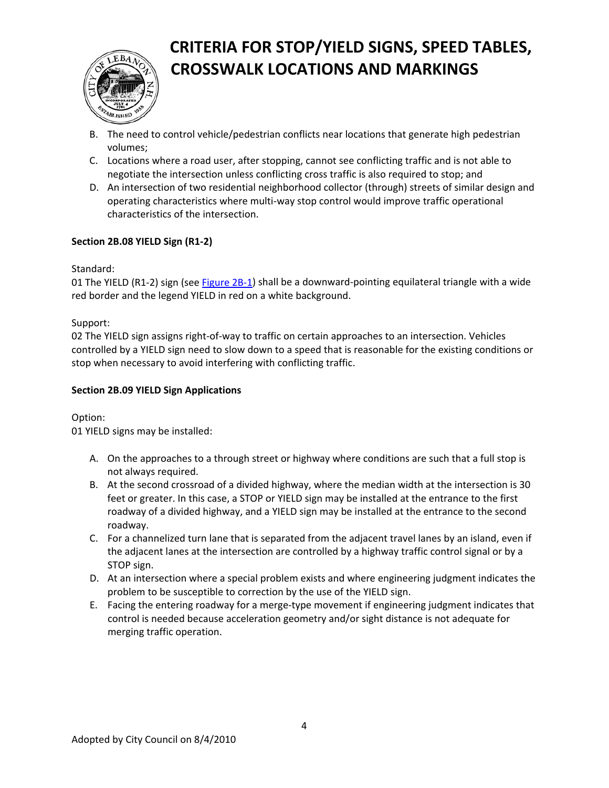

- B. The need to control vehicle/pedestrian conflicts near locations that generate high pedestrian volumes;
- C. Locations where a road user, after stopping, cannot see conflicting traffic and is not able to negotiate the intersection unless conflicting cross traffic is also required to stop; and
- D. An intersection of two residential neighborhood collector (through) streets of similar design and operating characteristics where multi‐way stop control would improve traffic operational characteristics of the intersection.

#### **Section 2B.08 YIELD Sign (R1‐2)**

#### Standard:

01 The YIELD (R1-2) sign (see [Figure](http://mutcd.fhwa.dot.gov/htm/2009/part2/part2b.htm#figure2B01) 2B-1) shall be a downward-pointing equilateral triangle with a wide red border and the legend YIELD in red on a white background.

#### Support:

02 The YIELD sign assigns right‐of‐way to traffic on certain approaches to an intersection. Vehicles controlled by a YIELD sign need to slow down to a speed that is reasonable for the existing conditions or stop when necessary to avoid interfering with conflicting traffic.

#### **Section 2B.09 YIELD Sign Applications**

#### Option:

01 YIELD signs may be installed:

- A. On the approaches to a through street or highway where conditions are such that a full stop is not always required.
- B. At the second crossroad of a divided highway, where the median width at the intersection is 30 feet or greater. In this case, a STOP or YIELD sign may be installed at the entrance to the first roadway of a divided highway, and a YIELD sign may be installed at the entrance to the second roadway.
- C. For a channelized turn lane that is separated from the adjacent travel lanes by an island, even if the adjacent lanes at the intersection are controlled by a highway traffic control signal or by a STOP sign.
- D. At an intersection where a special problem exists and where engineering judgment indicates the problem to be susceptible to correction by the use of the YIELD sign.
- E. Facing the entering roadway for a merge‐type movement if engineering judgment indicates that control is needed because acceleration geometry and/or sight distance is not adequate for merging traffic operation.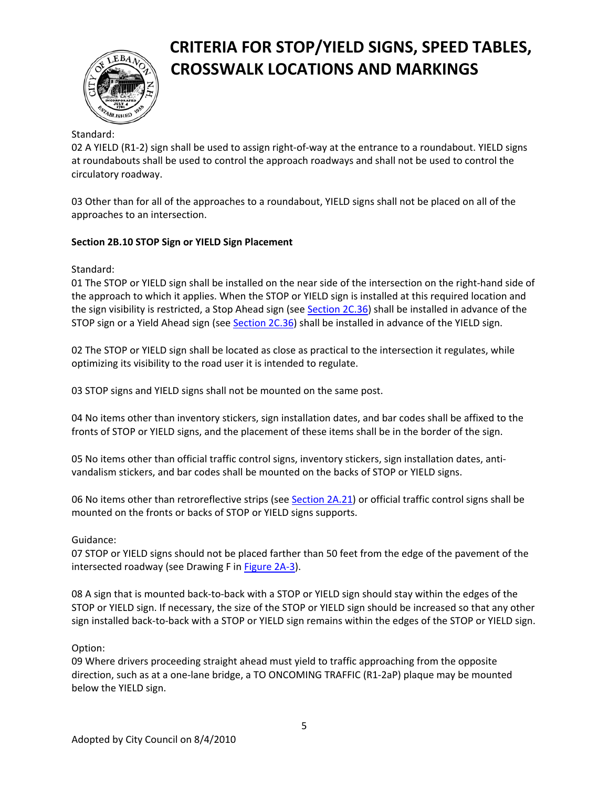

#### Standard:

02 A YIELD (R1-2) sign shall be used to assign right-of-way at the entrance to a roundabout. YIELD signs at roundabouts shall be used to control the approach roadways and shall not be used to control the circulatory roadway.

03 Other than for all of the approaches to a roundabout, YIELD signs shall not be placed on all of the approaches to an intersection.

#### **Section 2B.10 STOP Sign or YIELD Sign Placement**

Standard:

01 The STOP or YIELD sign shall be installed on the near side of the intersection on the right‐hand side of the approach to which it applies. When the STOP or YIELD sign is installed at this required location and the sign visibility is restricted, a Stop Ahead sign (see [Section](http://mutcd.fhwa.dot.gov/htm/2009/part2/part2c.htm#section2C36) 2C.36) shall be installed in advance of the STOP sign or a Yield Ahead sign (see [Section](http://mutcd.fhwa.dot.gov/htm/2009/part2/part2c.htm#section2C36) 2C.36) shall be installed in advance of the YIELD sign.

02 The STOP or YIELD sign shall be located as close as practical to the intersection it regulates, while optimizing its visibility to the road user it is intended to regulate.

03 STOP signs and YIELD signs shall not be mounted on the same post.

04 No items other than inventory stickers, sign installation dates, and bar codes shall be affixed to the fronts of STOP or YIELD signs, and the placement of these items shall be in the border of the sign.

05 No items other than official traffic control signs, inventory stickers, sign installation dates, anti‐ vandalism stickers, and bar codes shall be mounted on the backs of STOP or YIELD signs.

06 No items other than retroreflective strips (see [Section](http://mutcd.fhwa.dot.gov/htm/2009/part2/part2a.htm#section2A21) 2A.21) or official traffic control signs shall be mounted on the fronts or backs of STOP or YIELD signs supports.

Guidance:

07 STOP or YIELD signs should not be placed farther than 50 feet from the edge of the pavement of the intersected roadway (see Drawing F in [Figure](http://mutcd.fhwa.dot.gov/htm/2009/part2/part2a.htm#figure2A03) 2A‐3).

08 A sign that is mounted back‐to‐back with a STOP or YIELD sign should stay within the edges of the STOP or YIELD sign. If necessary, the size of the STOP or YIELD sign should be increased so that any other sign installed back‐to‐back with a STOP or YIELD sign remains within the edges of the STOP or YIELD sign.

#### Option:

09 Where drivers proceeding straight ahead must yield to traffic approaching from the opposite direction, such as at a one‐lane bridge, a TO ONCOMING TRAFFIC (R1‐2aP) plaque may be mounted below the YIELD sign.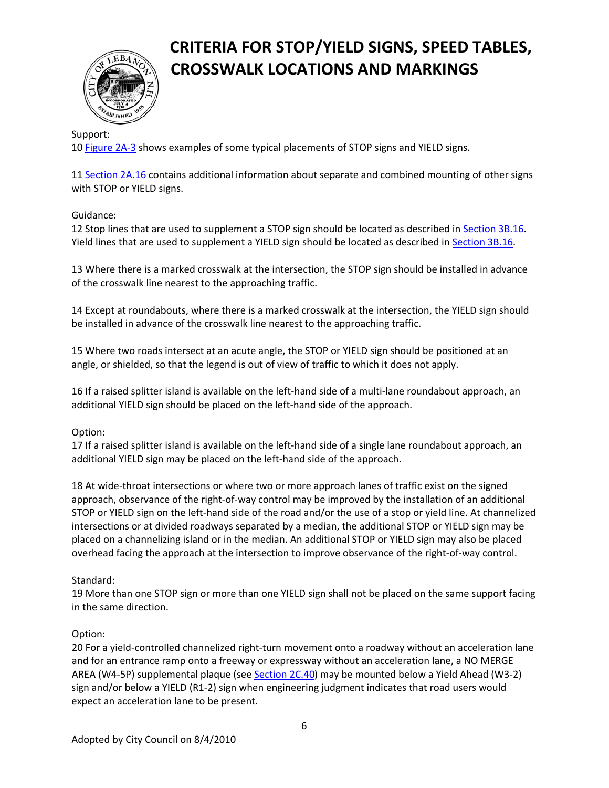

#### Support:

10 [Figure](http://mutcd.fhwa.dot.gov/htm/2009/part2/part2a.htm#figure2A03) 2A‐3 shows examples of some typical placements of STOP signs and YIELD signs.

11 [Section](http://mutcd.fhwa.dot.gov/htm/2009/part2/part2a.htm#section2A16) 2A.16 contains additional information about separate and combined mounting of other signs with STOP or YIELD signs.

#### Guidance:

12 Stop lines that are used to supplement a STOP sign should be located as described in [Section](http://mutcd.fhwa.dot.gov/htm/2009/part3/part3b.htm#section3B16) 3B.16. Yield lines that are used to supplement a YIELD sign should be located as described in [Section](http://mutcd.fhwa.dot.gov/htm/2009/part3/part3b.htm#section3B16) 3B.16.

13 Where there is a marked crosswalk at the intersection, the STOP sign should be installed in advance of the crosswalk line nearest to the approaching traffic.

14 Except at roundabouts, where there is a marked crosswalk at the intersection, the YIELD sign should be installed in advance of the crosswalk line nearest to the approaching traffic.

15 Where two roads intersect at an acute angle, the STOP or YIELD sign should be positioned at an angle, or shielded, so that the legend is out of view of traffic to which it does not apply.

16 If a raised splitter island is available on the left‐hand side of a multi‐lane roundabout approach, an additional YIELD sign should be placed on the left‐hand side of the approach.

#### Option:

17 If a raised splitter island is available on the left‐hand side of a single lane roundabout approach, an additional YIELD sign may be placed on the left‐hand side of the approach.

18 At wide-throat intersections or where two or more approach lanes of traffic exist on the signed approach, observance of the right‐of‐way control may be improved by the installation of an additional STOP or YIELD sign on the left‐hand side of the road and/or the use of a stop or yield line. At channelized intersections or at divided roadways separated by a median, the additional STOP or YIELD sign may be placed on a channelizing island or in the median. An additional STOP or YIELD sign may also be placed overhead facing the approach at the intersection to improve observance of the right‐of‐way control.

#### Standard:

19 More than one STOP sign or more than one YIELD sign shall not be placed on the same support facing in the same direction.

#### Option:

20 For a yield‐controlled channelized right‐turn movement onto a roadway without an acceleration lane and for an entrance ramp onto a freeway or expressway without an acceleration lane, a NO MERGE AREA (W4‐5P) supplemental plaque (see [Section](http://mutcd.fhwa.dot.gov/htm/2009/part2/part2c.htm#section2C40) 2C.40) may be mounted below a Yield Ahead (W3‐2) sign and/or below a YIELD (R1‐2) sign when engineering judgment indicates that road users would expect an acceleration lane to be present.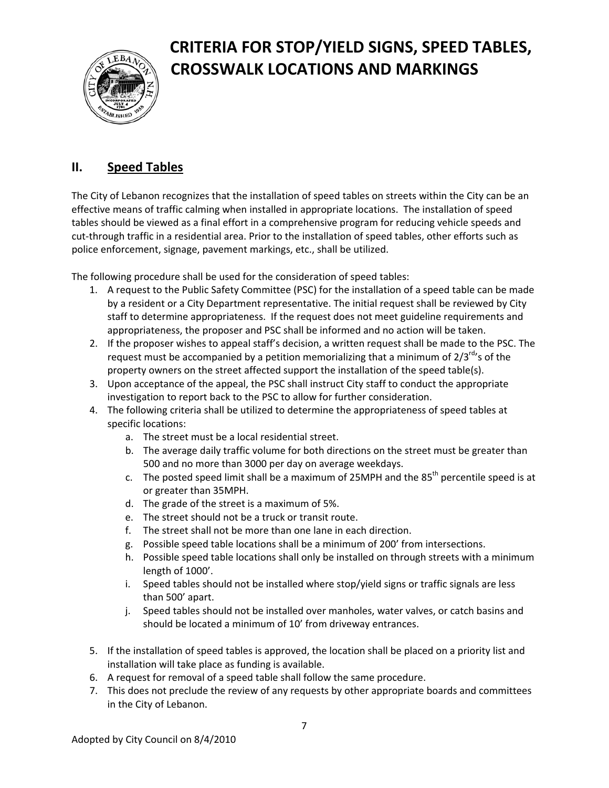

### **II. Speed Tables**

The City of Lebanon recognizes that the installation of speed tables on streets within the City can be an effective means of traffic calming when installed in appropriate locations. The installation of speed tables should be viewed as a final effort in a comprehensive program for reducing vehicle speeds and cut‐through traffic in a residential area. Prior to the installation of speed tables, other efforts such as police enforcement, signage, pavement markings, etc., shall be utilized.

The following procedure shall be used for the consideration of speed tables:

- 1. A request to the Public Safety Committee (PSC) for the installation of a speed table can be made by a resident or a City Department representative. The initial request shall be reviewed by City staff to determine appropriateness. If the request does not meet guideline requirements and appropriateness, the proposer and PSC shall be informed and no action will be taken.
- 2. If the proposer wishes to appeal staff's decision, a written request shall be made to the PSC. The request must be accompanied by a petition memorializing that a minimum of  $2/3^{rd}$ 's of the property owners on the street affected support the installation of the speed table(s).
- 3. Upon acceptance of the appeal, the PSC shall instruct City staff to conduct the appropriate investigation to report back to the PSC to allow for further consideration.
- 4. The following criteria shall be utilized to determine the appropriateness of speed tables at specific locations:
	- a. The street must be a local residential street.
	- b. The average daily traffic volume for both directions on the street must be greater than 500 and no more than 3000 per day on average weekdays.
	- c. The posted speed limit shall be a maximum of 25MPH and the  $85<sup>th</sup>$  percentile speed is at or greater than 35MPH.
	- d. The grade of the street is a maximum of 5%.
	- e. The street should not be a truck or transit route.
	- f. The street shall not be more than one lane in each direction.
	- g. Possible speed table locations shall be a minimum of 200' from intersections.
	- h. Possible speed table locations shall only be installed on through streets with a minimum length of 1000'.
	- i. Speed tables should not be installed where stop/yield signs or traffic signals are less than 500' apart.
	- j. Speed tables should not be installed over manholes, water valves, or catch basins and should be located a minimum of 10' from driveway entrances.
- 5. If the installation of speed tables is approved, the location shall be placed on a priority list and installation will take place as funding is available.
- 6. A request for removal of a speed table shall follow the same procedure.
- 7. This does not preclude the review of any requests by other appropriate boards and committees in the City of Lebanon.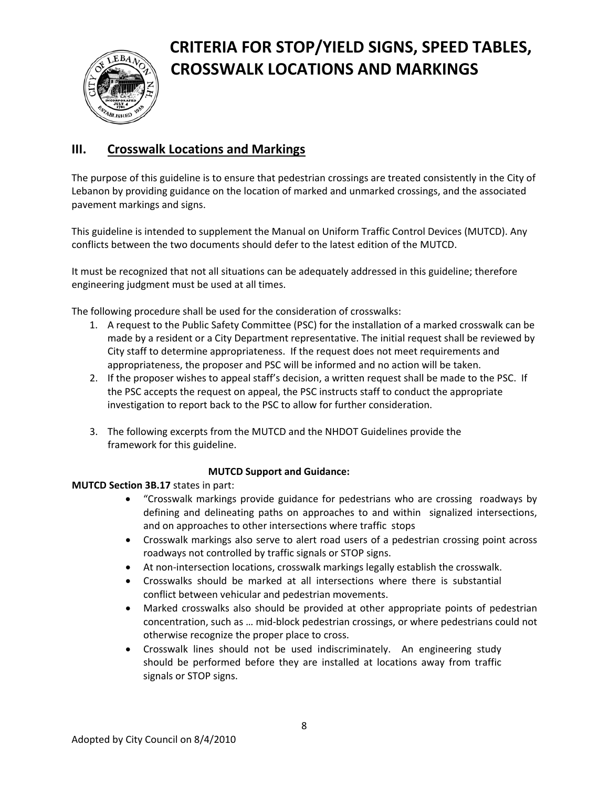

### **III. Crosswalk Locations and Markings**

The purpose of this guideline is to ensure that pedestrian crossings are treated consistently in the City of Lebanon by providing guidance on the location of marked and unmarked crossings, and the associated pavement markings and signs.

This guideline is intended to supplement the Manual on Uniform Traffic Control Devices (MUTCD). Any conflicts between the two documents should defer to the latest edition of the MUTCD.

It must be recognized that not all situations can be adequately addressed in this guideline; therefore engineering judgment must be used at all times.

The following procedure shall be used for the consideration of crosswalks:

- 1. A request to the Public Safety Committee (PSC) for the installation of a marked crosswalk can be made by a resident or a City Department representative. The initial request shall be reviewed by City staff to determine appropriateness. If the request does not meet requirements and appropriateness, the proposer and PSC will be informed and no action will be taken.
- 2. If the proposer wishes to appeal staff's decision, a written request shall be made to the PSC. If the PSC accepts the request on appeal, the PSC instructs staff to conduct the appropriate investigation to report back to the PSC to allow for further consideration.
- 3. The following excerpts from the MUTCD and the NHDOT Guidelines provide the framework for this guideline.

#### **MUTCD Support and Guidance:**

#### **MUTCD Section 3B.17** states in part:

- "Crosswalk markings provide guidance for pedestrians who are crossing roadways by defining and delineating paths on approaches to and within signalized intersections, and on approaches to other intersections where traffic stops
- Crosswalk markings also serve to alert road users of a pedestrian crossing point across roadways not controlled by traffic signals or STOP signs.
- At non‐intersection locations, crosswalk markings legally establish the crosswalk.
- Crosswalks should be marked at all intersections where there is substantial conflict between vehicular and pedestrian movements.
- Marked crosswalks also should be provided at other appropriate points of pedestrian concentration, such as … mid‐block pedestrian crossings, or where pedestrians could not otherwise recognize the proper place to cross.
- Crosswalk lines should not be used indiscriminately. An engineering study should be performed before they are installed at locations away from traffic signals or STOP signs.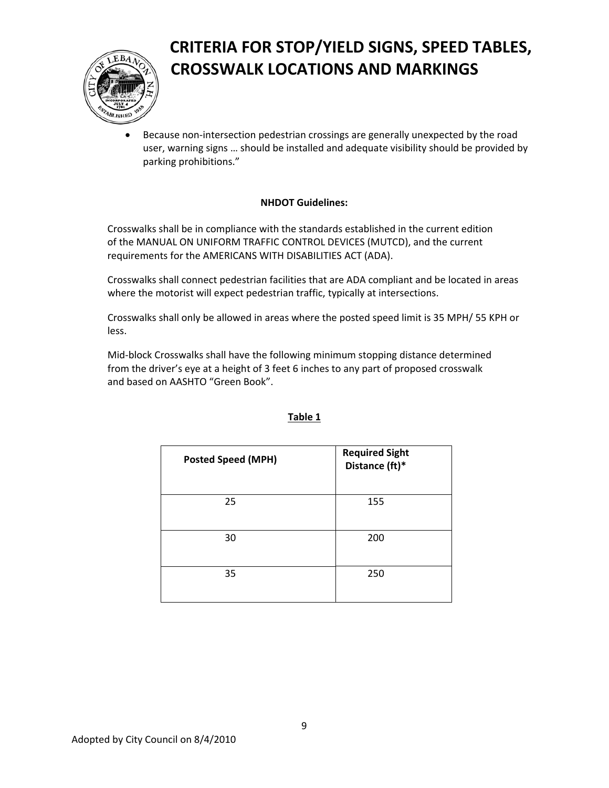

• Because non-intersection pedestrian crossings are generally unexpected by the road user, warning signs … should be installed and adequate visibility should be provided by parking prohibitions."

#### **NHDOT Guidelines:**

Crosswalks shall be in compliance with the standards established in the current edition of the MANUAL ON UNIFORM TRAFFIC CONTROL DEVICES (MUTCD), and the current requirements for the AMERICANS WITH DISABILITIES ACT (ADA).

Crosswalks shall connect pedestrian facilities that are ADA compliant and be located in areas where the motorist will expect pedestrian traffic, typically at intersections.

Crosswalks shall only be allowed in areas where the posted speed limit is 35 MPH/ 55 KPH or less.

Mid‐block Crosswalks shall have the following minimum stopping distance determined from the driver's eye at a height of 3 feet 6 inches to any part of proposed crosswalk and based on AASHTO "Green Book".

| <b>Posted Speed (MPH)</b> | <b>Required Sight</b><br>Distance (ft)* |
|---------------------------|-----------------------------------------|
| 25                        | 155                                     |
| 30                        | 200                                     |
| 35                        | 250                                     |

#### **Table 1**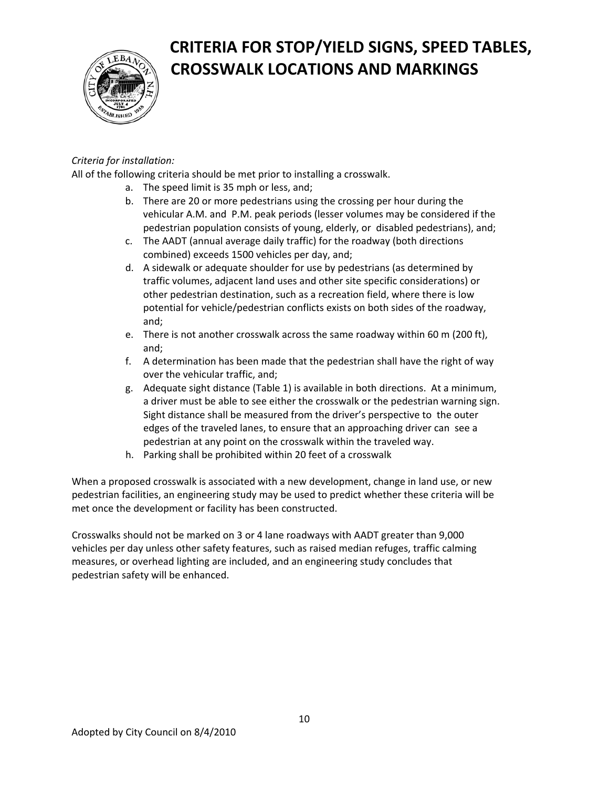

### *Criteria for installation:*

All of the following criteria should be met prior to installing a crosswalk.

- a. The speed limit is 35 mph or less, and;
- b. There are 20 or more pedestrians using the crossing per hour during the vehicular A.M. and P.M. peak periods (lesser volumes may be considered if the pedestrian population consists of young, elderly, or disabled pedestrians), and;
- c. The AADT (annual average daily traffic) for the roadway (both directions combined) exceeds 1500 vehicles per day, and;
- d. A sidewalk or adequate shoulder for use by pedestrians (as determined by traffic volumes, adjacent land uses and other site specific considerations) or other pedestrian destination, such as a recreation field, where there is low potential for vehicle/pedestrian conflicts exists on both sides of the roadway, and;
- e. There is not another crosswalk across the same roadway within 60 m (200 ft), and;
- f. A determination has been made that the pedestrian shall have the right of way over the vehicular traffic, and;
- g. Adequate sight distance (Table 1) is available in both directions. At a minimum, a driver must be able to see either the crosswalk or the pedestrian warning sign. Sight distance shall be measured from the driver's perspective to the outer edges of the traveled lanes, to ensure that an approaching driver can see a pedestrian at any point on the crosswalk within the traveled way.
- h. Parking shall be prohibited within 20 feet of a crosswalk

When a proposed crosswalk is associated with a new development, change in land use, or new pedestrian facilities, an engineering study may be used to predict whether these criteria will be met once the development or facility has been constructed.

Crosswalks should not be marked on 3 or 4 lane roadways with AADT greater than 9,000 vehicles per day unless other safety features, such as raised median refuges, traffic calming measures, or overhead lighting are included, and an engineering study concludes that pedestrian safety will be enhanced.